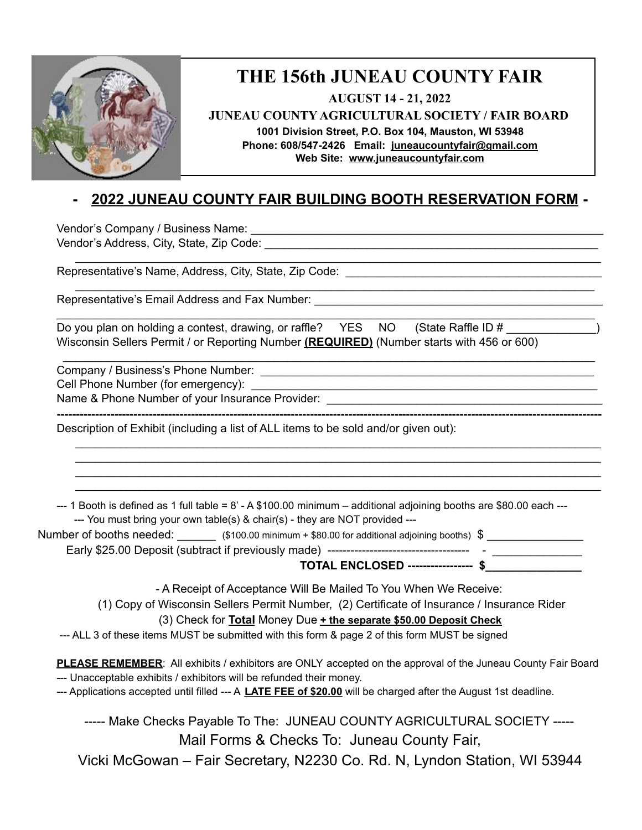

## **THE 156th JUNEAU COUNTY FAIR**

**AUGUST 14 - 21, 2022**

**JUNEAU COUNTY AGRICULTURAL SOCIETY / FAIR BOARD**

**1001 Division Street, P.O. Box 104, Mauston, WI 53948**

**Phone: 608/547-2426 Email: [juneaucountyfair@gmail.com](mailto:juneaucountyfair@gmail.com) Web Site: [www.juneaucountyf](http://www.juneaucounty/)air.com**

## **- 2022 JUNEAU COUNTY FAIR BUILDING BOOTH RESERVATION FORM -**

\_\_\_\_\_\_\_\_\_\_\_\_\_\_\_\_\_\_\_\_\_\_\_\_\_\_\_\_\_\_\_\_\_\_\_\_\_\_\_\_\_\_\_\_\_\_\_\_\_\_\_\_\_\_\_\_\_\_\_\_\_\_\_\_\_\_\_\_\_\_\_\_\_\_\_\_\_\_\_\_\_\_

\_\_\_\_\_\_\_\_\_\_\_\_\_\_\_\_\_\_\_\_\_\_\_\_\_\_\_\_\_\_\_\_\_\_\_\_\_\_\_\_\_\_\_\_\_\_\_\_\_\_\_\_\_\_\_\_\_\_\_\_\_\_\_\_\_\_\_\_\_\_\_\_\_\_\_\_\_\_\_\_\_

**----------------------------------------------------------------------------------------------------------------------------------------------**

\_\_\_\_\_\_\_\_\_\_\_\_\_\_\_\_\_\_\_\_\_\_\_\_\_\_\_\_\_\_\_\_\_\_\_\_\_\_\_\_\_\_\_\_\_\_\_\_\_\_\_\_\_\_\_\_\_\_\_\_\_\_\_\_\_\_\_\_\_\_\_\_\_\_\_\_\_\_\_\_\_\_ \_\_\_\_\_\_\_\_\_\_\_\_\_\_\_\_\_\_\_\_\_\_\_\_\_\_\_\_\_\_\_\_\_\_\_\_\_\_\_\_\_\_\_\_\_\_\_\_\_\_\_\_\_\_\_\_\_\_\_\_\_\_\_\_\_\_\_\_\_\_\_\_\_\_\_\_\_\_\_\_\_\_ \_\_\_\_\_\_\_\_\_\_\_\_\_\_\_\_\_\_\_\_\_\_\_\_\_\_\_\_\_\_\_\_\_\_\_\_\_\_\_\_\_\_\_\_\_\_\_\_\_\_\_\_\_\_\_\_\_\_\_\_\_\_\_\_\_\_\_\_\_\_\_\_\_\_\_\_\_\_\_\_\_\_ \_\_\_\_\_\_\_\_\_\_\_\_\_\_\_\_\_\_\_\_\_\_\_\_\_\_\_\_\_\_\_\_\_\_\_\_\_\_\_\_\_\_\_\_\_\_\_\_\_\_\_\_\_\_\_\_\_\_\_\_\_\_\_\_\_\_\_\_\_\_\_\_\_\_\_\_\_\_\_\_\_\_

\_\_\_\_\_\_\_\_\_\_\_\_\_\_\_\_\_\_\_\_\_\_\_\_\_\_\_\_\_\_\_\_\_\_\_\_\_\_\_\_\_\_\_\_\_\_\_\_\_\_\_\_\_\_\_\_\_\_\_\_\_\_\_\_\_\_\_\_\_\_\_\_\_\_\_\_\_\_\_\_\_\_\_\_

Vendor's Company / Business Name: \_\_\_\_\_\_\_\_\_\_\_\_\_\_\_\_\_\_\_\_\_\_\_\_\_\_\_\_\_\_\_\_\_\_\_\_\_\_\_\_\_\_\_\_\_\_\_\_\_\_\_\_\_\_\_ Vendor's Address, City, State, Zip Code: \_\_\_\_\_\_\_\_\_\_\_\_\_\_\_\_\_\_\_\_\_\_\_\_\_\_\_\_\_\_\_\_\_\_\_\_\_\_\_\_\_\_\_\_\_\_\_\_\_\_\_\_

Representative's Name, Address, City, State, Zip Code:

Representative's Email Address and Fax Number:

| Do you plan on holding a contest, drawing, or raffle? YES NO (State Raffle ID #                  |  |  |
|--------------------------------------------------------------------------------------------------|--|--|
| Wisconsin Sellers Permit / or Reporting Number <u>(REQUIRED)</u> (Number starts with 456 or 600) |  |  |

Company / Business's Phone Number: \_\_\_\_\_\_\_\_\_\_\_\_\_\_\_\_\_\_\_\_\_\_\_\_\_\_\_\_\_\_\_\_\_\_\_\_\_\_\_\_\_\_\_\_\_\_\_\_\_\_\_\_

Cell Phone Number (for emergency): \_\_\_\_\_\_\_\_\_\_\_\_\_\_\_\_\_\_\_\_\_\_\_\_\_\_\_\_\_\_\_\_\_\_\_\_\_\_\_\_\_\_\_\_\_\_\_\_\_\_\_\_\_\_

Name & Phone Number of your Insurance Provider: \_\_\_\_\_\_\_\_\_\_\_\_\_\_\_\_\_\_\_\_\_\_\_\_\_\_\_\_\_\_\_\_\_\_\_\_\_\_\_\_\_\_\_

Description of Exhibit (including a list of ALL items to be sold and/or given out):

 $-$ -1 Booth is defined as 1 full table =  $8'$  - A \$100.00 minimum – additional adjoining booths are \$80.00 each  $-$ ---- You must bring your own table(s) & chair(s) - they are NOT provided ---

Number of booths needed:  $\qquad \qquad$  (\$100.00 minimum + \$80.00 for additional adjoining booths) \$

Early \$25.00 Deposit (subtract if previously made) ------------------------------------- - \_\_\_\_\_\_\_\_\_\_\_\_\_\_

**TOTAL ENCLOSED ----------------- \$\_\_\_\_\_\_\_\_\_\_\_\_\_\_\_**

\_\_\_\_\_\_\_\_\_\_\_\_\_\_\_\_\_\_\_\_\_\_\_\_\_\_\_\_\_\_\_\_\_\_\_\_\_\_\_\_\_\_\_\_\_\_\_\_\_\_\_\_\_\_\_\_\_\_\_\_\_\_\_\_\_\_\_\_\_\_\_\_\_\_\_\_\_\_\_\_\_\_\_

- A Receipt of Acceptance Will Be Mailed To You When We Receive:

(1) Copy of Wisconsin Sellers Permit Number, (2) Certificate of Insurance / Insurance Rider

(3) Check for **Total** Money Due **+ the separate \$50.00 Deposit Check**

--- ALL 3 of these items MUST be submitted with this form & page 2 of this form MUST be signed

**PLEASE REMEMBER**: All exhibits / exhibitors are ONLY accepted on the approval of the Juneau County Fair Board --- Unacceptable exhibits / exhibitors will be refunded their money.

--- Applications accepted until filled --- A **LATE FEE of \$20.00** will be charged after the August 1st deadline.

----- Make Checks Payable To The: JUNEAU COUNTY AGRICULTURAL SOCIETY -----Mail Forms & Checks To: Juneau County Fair, Vicki McGowan – Fair Secretary, N2230 Co. Rd. N, Lyndon Station, WI 53944